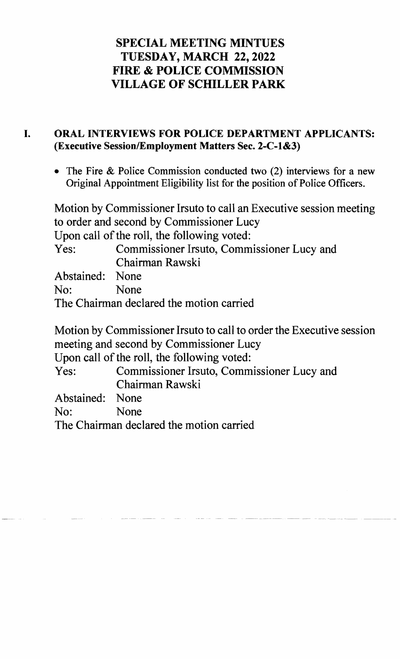## SPECIAL MEETING MINTUES TUESDAY, MARCH 22,2022 FIRE & POLICE COMMISSION VILLAGE OF SCHILLER PARK

## I. ORAL INTERVIEWS FOR POLICE DEPARTMENT APPLICANTS: (Executive Session/Employment Matters Sec. 2-C-l&3)

• The Fire & Police Commission conducted two  $(2)$  interviews for a new Original Appointment Eligibility list for the position of Police Officers.

Motion by Commissioner Irsuto to call an Executive session meeting to order and second by Commissioner Lucy Upon call of the roll, the following voted: Yes: Commissioner Irsuto, Commissioner Lucy and Chairman Rawski Abstained: None No: None The Chairman declared the motion carried Motion by Commissioner Irsuto to call to order the Executive session meeting and second by Commissioner Lucy Upon call of the roll, the following voted:

Yes: Commissioner Irsuto, Commissioner Lucy and Chairman Rawski

Abstained: None

No: None

The Chairman declared the motion carried